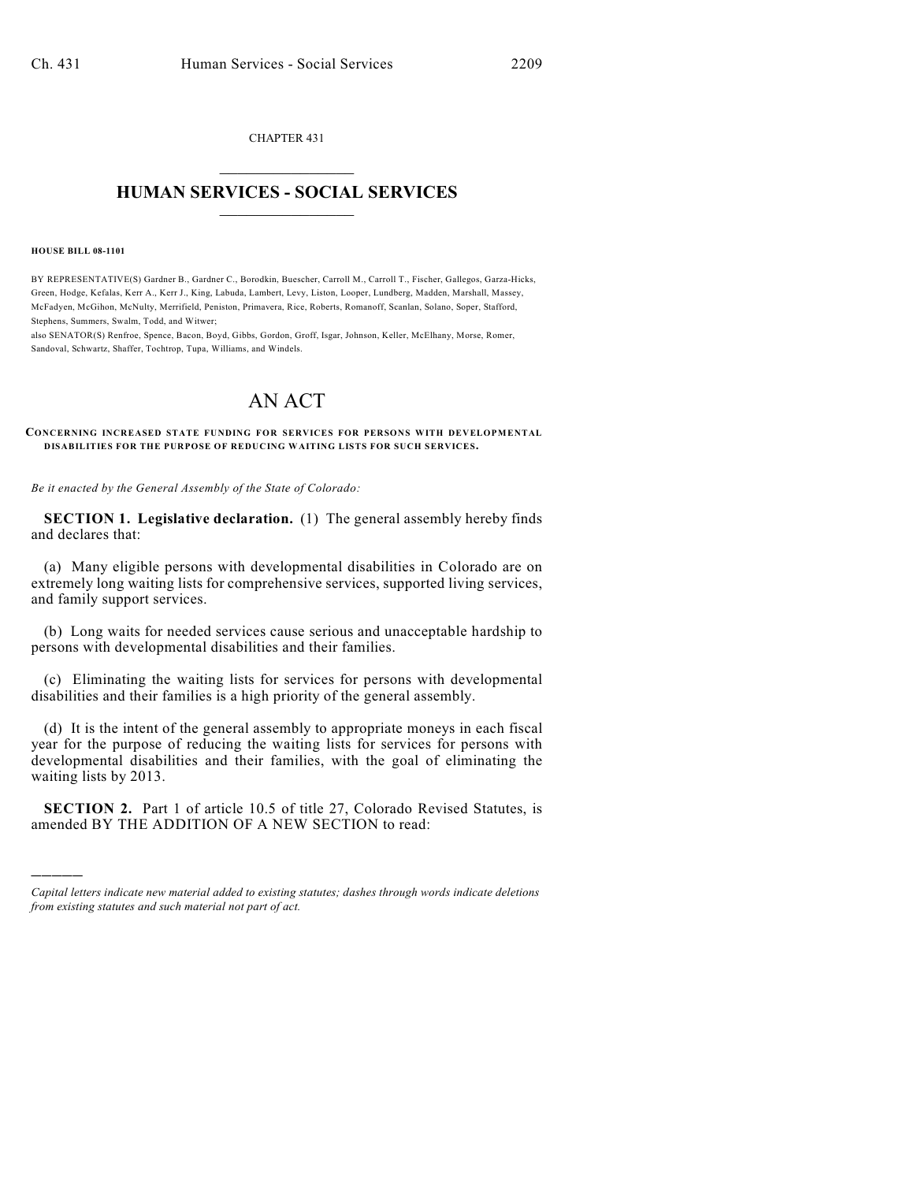CHAPTER 431  $\mathcal{L}_\text{max}$  . The set of the set of the set of the set of the set of the set of the set of the set of the set of the set of the set of the set of the set of the set of the set of the set of the set of the set of the set

## **HUMAN SERVICES - SOCIAL SERVICES**  $\frac{1}{2}$  ,  $\frac{1}{2}$  ,  $\frac{1}{2}$  ,  $\frac{1}{2}$  ,  $\frac{1}{2}$  ,  $\frac{1}{2}$  ,  $\frac{1}{2}$

**HOUSE BILL 08-1101**

)))))

BY REPRESENTATIVE(S) Gardner B., Gardner C., Borodkin, Buescher, Carroll M., Carroll T., Fischer, Gallegos, Garza-Hicks, Green, Hodge, Kefalas, Kerr A., Kerr J., King, Labuda, Lambert, Levy, Liston, Looper, Lundberg, Madden, Marshall, Massey, McFadyen, McGihon, McNulty, Merrifield, Peniston, Primavera, Rice, Roberts, Romanoff, Scanlan, Solano, Soper, Stafford, Stephens, Summers, Swalm, Todd, and Witwer;

also SENATOR(S) Renfroe, Spence, Bacon, Boyd, Gibbs, Gordon, Groff, Isgar, Johnson, Keller, McElhany, Morse, Romer, Sandoval, Schwartz, Shaffer, Tochtrop, Tupa, Williams, and Windels.

## AN ACT

**CONCERNING INCREASED STATE FUNDING FOR SERVICES FOR PERSONS WITH DEVELOPMENTAL DISABILITIES FOR THE PURPOSE OF REDUCING WAITING LISTS FOR SUCH SERVICES.**

*Be it enacted by the General Assembly of the State of Colorado:*

**SECTION 1. Legislative declaration.** (1) The general assembly hereby finds and declares that:

(a) Many eligible persons with developmental disabilities in Colorado are on extremely long waiting lists for comprehensive services, supported living services, and family support services.

(b) Long waits for needed services cause serious and unacceptable hardship to persons with developmental disabilities and their families.

(c) Eliminating the waiting lists for services for persons with developmental disabilities and their families is a high priority of the general assembly.

(d) It is the intent of the general assembly to appropriate moneys in each fiscal year for the purpose of reducing the waiting lists for services for persons with developmental disabilities and their families, with the goal of eliminating the waiting lists by 2013.

**SECTION 2.** Part 1 of article 10.5 of title 27, Colorado Revised Statutes, is amended BY THE ADDITION OF A NEW SECTION to read:

*Capital letters indicate new material added to existing statutes; dashes through words indicate deletions from existing statutes and such material not part of act.*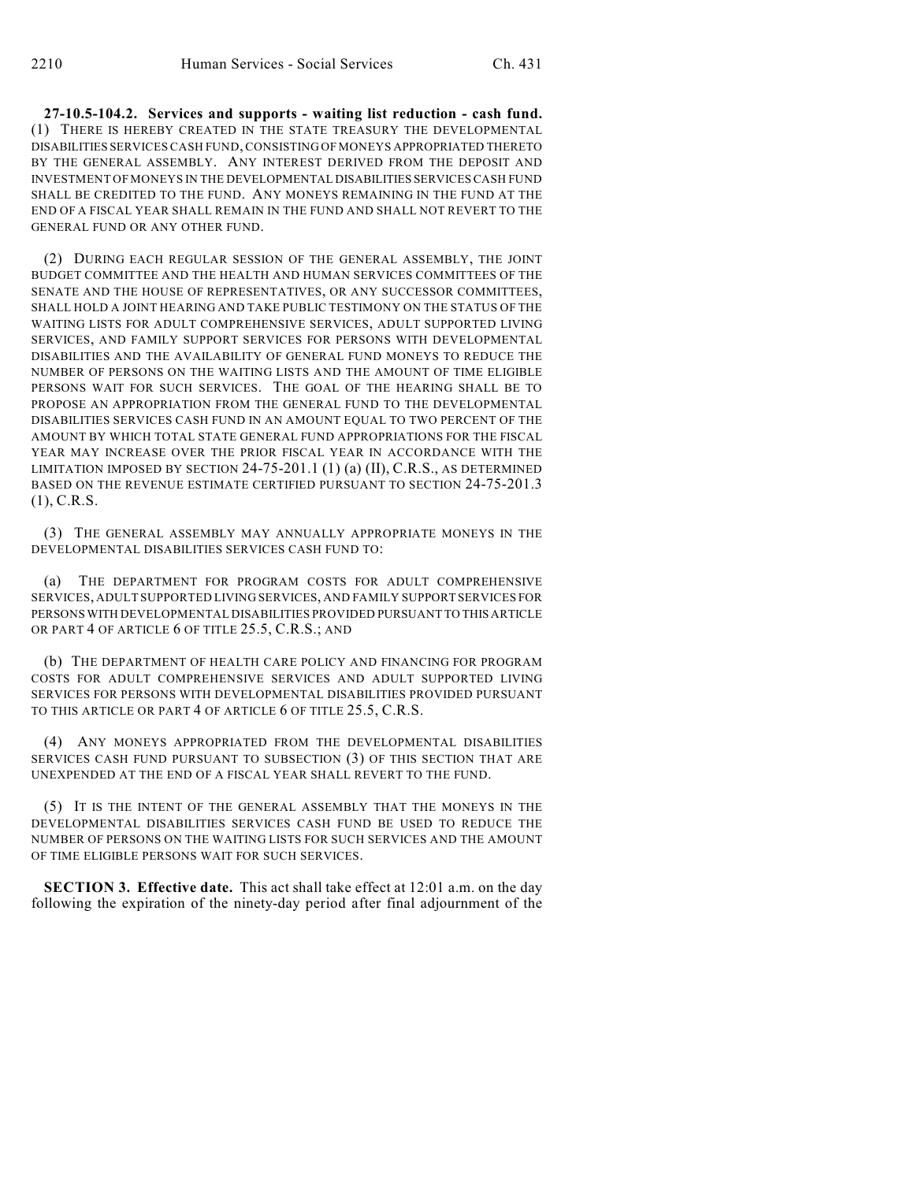**27-10.5-104.2. Services and supports - waiting list reduction - cash fund.** (1) THERE IS HEREBY CREATED IN THE STATE TREASURY THE DEVELOPMENTAL DISABILITIES SERVICES CASH FUND, CONSISTING OF MONEYS APPROPRIATED THERETO BY THE GENERAL ASSEMBLY. ANY INTEREST DERIVED FROM THE DEPOSIT AND INVESTMENT OF MONEYS IN THE DEVELOPMENTAL DISABILITIES SERVICES CASH FUND SHALL BE CREDITED TO THE FUND. ANY MONEYS REMAINING IN THE FUND AT THE END OF A FISCAL YEAR SHALL REMAIN IN THE FUND AND SHALL NOT REVERT TO THE GENERAL FUND OR ANY OTHER FUND.

(2) DURING EACH REGULAR SESSION OF THE GENERAL ASSEMBLY, THE JOINT BUDGET COMMITTEE AND THE HEALTH AND HUMAN SERVICES COMMITTEES OF THE SENATE AND THE HOUSE OF REPRESENTATIVES, OR ANY SUCCESSOR COMMITTEES, SHALL HOLD A JOINT HEARING AND TAKE PUBLIC TESTIMONY ON THE STATUS OF THE WAITING LISTS FOR ADULT COMPREHENSIVE SERVICES, ADULT SUPPORTED LIVING SERVICES, AND FAMILY SUPPORT SERVICES FOR PERSONS WITH DEVELOPMENTAL DISABILITIES AND THE AVAILABILITY OF GENERAL FUND MONEYS TO REDUCE THE NUMBER OF PERSONS ON THE WAITING LISTS AND THE AMOUNT OF TIME ELIGIBLE PERSONS WAIT FOR SUCH SERVICES. THE GOAL OF THE HEARING SHALL BE TO PROPOSE AN APPROPRIATION FROM THE GENERAL FUND TO THE DEVELOPMENTAL DISABILITIES SERVICES CASH FUND IN AN AMOUNT EQUAL TO TWO PERCENT OF THE AMOUNT BY WHICH TOTAL STATE GENERAL FUND APPROPRIATIONS FOR THE FISCAL YEAR MAY INCREASE OVER THE PRIOR FISCAL YEAR IN ACCORDANCE WITH THE LIMITATION IMPOSED BY SECTION  $24-75-201.1$  (1) (a) (II), C.R.S., AS DETERMINED BASED ON THE REVENUE ESTIMATE CERTIFIED PURSUANT TO SECTION 24-75-201.3 (1), C.R.S.

(3) THE GENERAL ASSEMBLY MAY ANNUALLY APPROPRIATE MONEYS IN THE DEVELOPMENTAL DISABILITIES SERVICES CASH FUND TO:

(a) THE DEPARTMENT FOR PROGRAM COSTS FOR ADULT COMPREHENSIVE SERVICES, ADULT SUPPORTED LIVING SERVICES, AND FAMILY SUPPORT SERVICES FOR PERSONS WITH DEVELOPMENTAL DISABILITIES PROVIDED PURSUANT TO THIS ARTICLE OR PART 4 OF ARTICLE 6 OF TITLE 25.5, C.R.S.; AND

(b) THE DEPARTMENT OF HEALTH CARE POLICY AND FINANCING FOR PROGRAM COSTS FOR ADULT COMPREHENSIVE SERVICES AND ADULT SUPPORTED LIVING SERVICES FOR PERSONS WITH DEVELOPMENTAL DISABILITIES PROVIDED PURSUANT TO THIS ARTICLE OR PART 4 OF ARTICLE 6 OF TITLE 25.5, C.R.S.

(4) ANY MONEYS APPROPRIATED FROM THE DEVELOPMENTAL DISABILITIES SERVICES CASH FUND PURSUANT TO SUBSECTION (3) OF THIS SECTION THAT ARE UNEXPENDED AT THE END OF A FISCAL YEAR SHALL REVERT TO THE FUND.

(5) IT IS THE INTENT OF THE GENERAL ASSEMBLY THAT THE MONEYS IN THE DEVELOPMENTAL DISABILITIES SERVICES CASH FUND BE USED TO REDUCE THE NUMBER OF PERSONS ON THE WAITING LISTS FOR SUCH SERVICES AND THE AMOUNT OF TIME ELIGIBLE PERSONS WAIT FOR SUCH SERVICES.

**SECTION 3. Effective date.** This act shall take effect at 12:01 a.m. on the day following the expiration of the ninety-day period after final adjournment of the